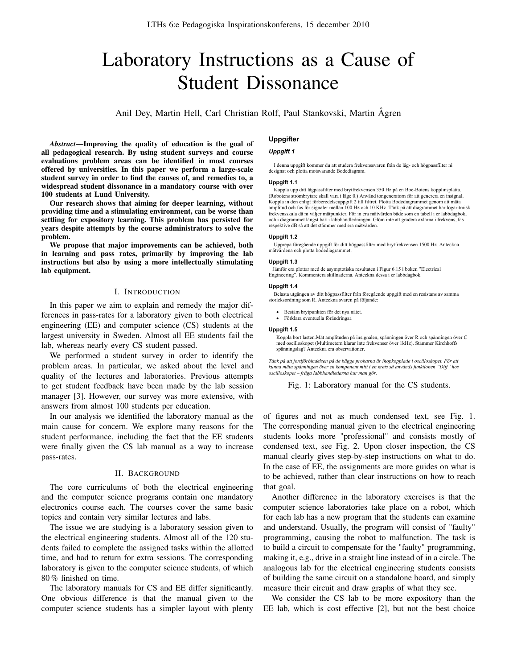# Laboratory Instructions as a Cause of Student Dissonance

Anil Dey, Martin Hell, Carl Christian Rolf, Paul Stankovski, Martin Ågren

*Abstract*—Improving the quality of education is the goal of all pedagogical research. By using student surveys and course evaluations problem areas can be identified in most courses offered by universities. In this paper we perform a large-scale student survey in order to find the causes of, and remedies to, a widespread student dissonance in a mandatory course with over 100 students at Lund University.

Our research shows that aiming for deeper learning, without providing time and a stimulating environment, can be worse than settling for expository learning. This problem has persisted for years despite attempts by the course administrators to solve the problem.

We propose that major improvements can be achieved, both in learning and pass rates, primarily by improving the lab instructions but also by using a more intellectually stimulating lab equipment.

## I. INTRODUCTION

In this paper we aim to explain and remedy the major differences in pass-rates for a laboratory given to both electrical engineering (EE) and computer science (CS) students at the largest university in Sweden. Almost all EE students fail the lab, whereas nearly every CS student passed.

We performed a student survey in order to identify the problem areas. In particular, we asked about the level and quality of the lectures and laboratories. Previous attempts to get student feedback have been made by the lab session manager [3]. However, our survey was more extensive, with answers from almost 100 students per education.

In our analysis we identified the laboratory manual as the main cause for concern. We explore many reasons for the student performance, including the fact that the EE students were finally given the CS lab manual as a way to increase pass-rates.

## II. BACKGROUND

The core curriculums of both the electrical engineering and the computer science programs contain one mandatory electronics course each. The courses cover the same basic topics and contain very similar lectures and labs.

The issue we are studying is a laboratory session given to the electrical engineering students. Almost all of the 120 students failed to complete the assigned tasks within the allotted time, and had to return for extra sessions. The corresponding laboratory is given to the computer science students, of which 80 % finished on time.

The laboratory manuals for CS and EE differ significantly. One obvious difference is that the manual given to the computer science students has a simpler layout with plenty

## **Uppgifter**

## *Uppgift 1*

 I denna uppgift kommer du att studera frekvenssvaren från de låg- och högpassfilter ni designat och plotta motsvarande Bodediagram.

#### **Uppgift 1.1**

 Koppla upp ditt lågpassfilter med brytfrekvensen 350 Hz på en Boe-Botens kopplinsplatta. (Robotens strömbrytare skall vara i läge 0.) Använd tongeneratorn för att generera en insignal. Koppla in den enligt förberedelseuppgift 2 till filtret. Plotta Bodediagrammet genom att mäta amplitud och fas för signaler mellan 100 Hz och 10 KHz. Tänk på att diagrammet har logaritmisk frekvensskala då ni väljer mätpunkter. För in era mätvärden både som en tabell i er labbdagbok, och i diagrammet längst bak i labbhandledningen. Glöm inte att gradera axlarna i frekvens, fas respektive dB så att det stämmer med era mätvärden.

#### **Uppgift 1.2**

 Upprepa föregående uppgift för ditt högpassfilter med brytfrekvensen 1500 Hz. Anteckna mätvärdena och plotta bodediagrammet.

## **Uppgift 1.3**

 Jämför era plottar med de asymptotiska resultaten i Figur 6.15 i boken "Electrical Engineering". Kommentera skillnaderna. Anteckna dessa i er labbdagbok.

#### **Uppgift 1.4**

 Belasta utgången av ditt högpassfilter från föregående uppgift med en resistans av samma storleksordning som R. Anteckna svaren på följande:

- ! Bestäm brytpunkten för det nya nätet.
- ! Förklara eventuella förändringar.

#### **Uppgift 1.5**

Koppla bort lasten.Mät amplituden på insignalen, spänningen över R och spänningen över C med oscilloskopet (Multimetern klarar inte frekvenser över 1kHz). Stämmer Kirchhoffs spänningslag? Anteckna era observationer.

*Tänk på att jordförbindelsen på de bägge probarna är ihopkopplade i oscilloskopet. För att kunna mäta spänningen över en komponent mitt i en krets så används funktionen "Diff" hos oscilloskopet – fråga labbhandledarna hur man gör.* 

Fig. 1: Laboratory manual for the CS students.

of figures and not as much condensed text, see Fig. 1. The corresponding manual given to the electrical engineering students looks more "professional" and consists mostly of condensed text, see Fig. 2. Upon closer inspection, the CS manual clearly gives step-by-step instructions on what to do. In the case of EE, the assignments are more guides on what is to be achieved, rather than clear instructions on how to reach that goal.

Another difference in the laboratory exercises is that the computer science laboratories take place on a robot, which for each lab has a new program that the students can examine and understand. Usually, the program will consist of "faulty" programming, causing the robot to malfunction. The task is to build a circuit to compensate for the "faulty" programming, making it, e.g., drive in a straight line instead of in a circle. The analogous lab for the electrical engineering students consists of building the same circuit on a standalone board, and simply measure their circuit and draw graphs of what they see.

We consider the CS lab to be more expository than the EE lab, which is cost effective [2], but not the best choice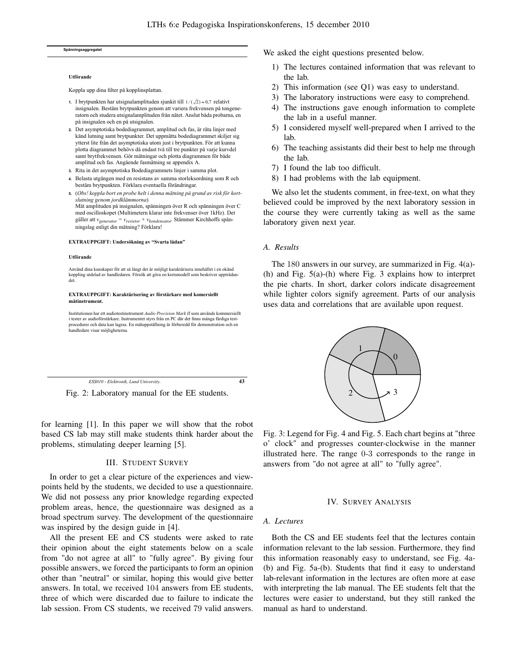#### **Spänningsaggregatet**

#### **Utförande**

Koppla upp dina filter på kopplinsplattan.

- **1.** I brytpunkten har utsignalamplituden sjunkit till  $1/(\sqrt{2}) \approx 0.7$  relativt insignalen. Bestäm brytpunkten genom att variera frekvensen på tongeneratorn och studera utsignalamplituden från nätet. Anslut båda probarna, en på insignalen och en på utsignalen.
- **2.** Det asymptotiska bodediagrammet, amplitud och fas, är räta linjer med känd lutning samt brytpunkter. Det uppmätta bodediagrammet skiljer sig ytterst lite från det asymptotiska utom just i brytpunkten. För att kunna plotta diagrammet behövs då endast två till tre punkter på varje kurvdel samt brytfrekvensen. Gör mätningar och plotta diagrammen för både amplitud och fas. Angående fasmätning se appendix A.
- **3.** Rita in det asymptotiska Bodediagrammets linjer i samma plot.
- **4.** Belasta utgången med en resistans av samma storleksordning som R och bestäm brytpunkten. Förklara eventuella förändringar.
- **5.** (*Obs! koppla bort en probe helt i denna mätning på grund av risk för kortslutning genom jordklämmorna*) Mät amplituden på insignalen, spänningen över R och spänningen över C med oscilloskopet (Multimetern klarar inte frekvenser över 1kHz). Det gäller att *vgenerator = vresistor + vkondensator*. Stämmer Kirchhoffs spänningslag enligt din mätning? Förklara!

#### **EXTRAUPPGIFT: Undersökning av "Svarta lådan"**

#### **Utförande**

Använd dina kunskaper för att så långt det är möjligt karaktärisera innehållet i en okänd koppling utdelad av handledaren. Försök att göra en kretsmodell som beskriver uppträdandet.

#### **EXTRAUPPGIFT: Karaktärisering av förstärkare med komersiellt mätinstrument.**

Institutionen har ett audiotestinstrument *Audio Precision Mark II* som används kommersiellt i tester av audioförstärkare. Instrumentet styrs från en PC där det finns många färdiga testprocedurer och data kan lagras. En mätuppställning är förberedd för demonstration och en handledare visar möjligheterna.

*ESS010 - Elektronik, Lund University.* **43**

Fig. 2: Laboratory manual for the EE students.

for learning [1]. In this paper we will show that the robot based CS lab may still make students think harder about the problems, stimulating deeper learning [5].

## III. STUDENT SURVEY

In order to get a clear picture of the experiences and viewpoints held by the students, we decided to use a questionnaire. We did not possess any prior knowledge regarding expected problem areas, hence, the questionnaire was designed as a broad spectrum survey. The development of the questionnaire was inspired by the design guide in [4].

All the present EE and CS students were asked to rate their opinion about the eight statements below on a scale from "do not agree at all" to "fully agree". By giving four possible answers, we forced the participants to form an opinion other than "neutral" or similar, hoping this would give better answers. In total, we received 104 answers from EE students, three of which were discarded due to failure to indicate the lab session. From CS students, we received 79 valid answers. We asked the eight questions presented below.

- 1) The lectures contained information that was relevant to the lab.
- 2) This information (see Q1) was easy to understand.
- 3) The laboratory instructions were easy to comprehend.
- 4) The instructions gave enough information to complete the lab in a useful manner.
- 5) I considered myself well-prepared when I arrived to the lab.
- 6) The teaching assistants did their best to help me through the lab.
- 7) I found the lab too difficult.
- 8) I had problems with the lab equipment.

We also let the students comment, in free-text, on what they believed could be improved by the next laboratory session in the course they were currently taking as well as the same laboratory given next year.

## *A. Results*

The 180 answers in our survey, are summarized in Fig. 4(a)- (h) and Fig. 5(a)-(h) where Fig. 3 explains how to interpret the pie charts. In short, darker colors indicate disagreement while lighter colors signify agreement. Parts of our analysis uses data and correlations that are available upon request.



Fig. 3: Legend for Fig. 4 and Fig. 5. Each chart begins at "three o' clock" and progresses counter-clockwise in the manner illustrated here. The range 0-3 corresponds to the range in answers from "do not agree at all" to "fully agree".

## IV. SURVEY ANALYSIS

## *A. Lectures*

Both the CS and EE students feel that the lectures contain information relevant to the lab session. Furthermore, they find this information reasonably easy to understand, see Fig. 4a- (b) and Fig. 5a-(b). Students that find it easy to understand lab-relevant information in the lectures are often more at ease with interpreting the lab manual. The EE students felt that the lectures were easier to understand, but they still ranked the manual as hard to understand.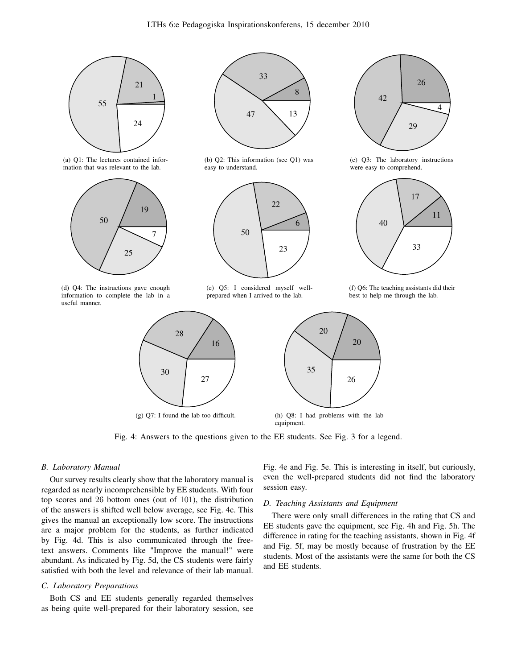



(d) Q4: The instructions gave enough information to complete the lab in a useful manner.



(b) Q2: This information (see Q1) was easy to understand.



(e) Q5: I considered myself wellprepared when I arrived to the lab.



Fig. 4: Answers to the questions given to the EE students. See Fig. 3 for a legend.

## *B. Laboratory Manual*

Our survey results clearly show that the laboratory manual is regarded as nearly incomprehensible by EE students. With four top scores and 26 bottom ones (out of 101), the distribution of the answers is shifted well below average, see Fig. 4c. This gives the manual an exceptionally low score. The instructions are a major problem for the students, as further indicated by Fig. 4d. This is also communicated through the freetext answers. Comments like "Improve the manual!" were abundant. As indicated by Fig. 5d, the CS students were fairly satisfied with both the level and relevance of their lab manual.

## *C. Laboratory Preparations*

Both CS and EE students generally regarded themselves as being quite well-prepared for their laboratory session, see Fig. 4e and Fig. 5e. This is interesting in itself, but curiously, even the well-prepared students did not find the laboratory session easy.

# *D. Teaching Assistants and Equipment*

There were only small differences in the rating that CS and EE students gave the equipment, see Fig. 4h and Fig. 5h. The difference in rating for the teaching assistants, shown in Fig. 4f and Fig. 5f, may be mostly because of frustration by the EE students. Most of the assistants were the same for both the CS and EE students.



(c) Q3: The laboratory instructions were easy to comprehend.



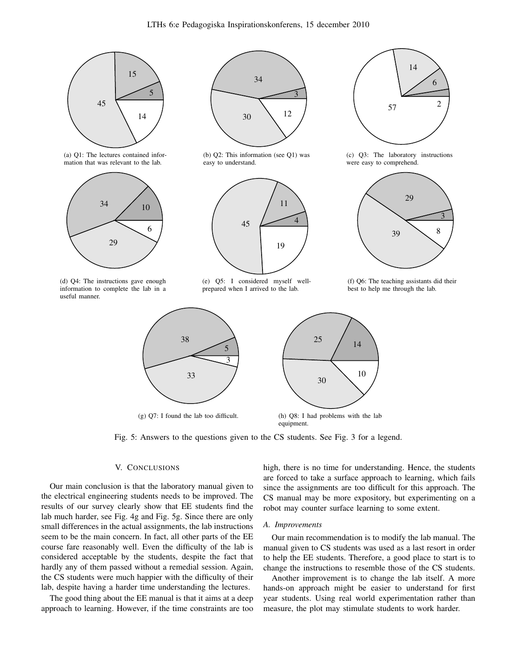

(g) Q7: I found the lab too difficult.

equipment.

Fig. 5: Answers to the questions given to the CS students. See Fig. 3 for a legend.

# V. CONCLUSIONS

Our main conclusion is that the laboratory manual given to the electrical engineering students needs to be improved. The results of our survey clearly show that EE students find the lab much harder, see Fig. 4g and Fig. 5g. Since there are only small differences in the actual assignments, the lab instructions seem to be the main concern. In fact, all other parts of the EE course fare reasonably well. Even the difficulty of the lab is considered acceptable by the students, despite the fact that hardly any of them passed without a remedial session. Again, the CS students were much happier with the difficulty of their lab, despite having a harder time understanding the lectures.

The good thing about the EE manual is that it aims at a deep approach to learning. However, if the time constraints are too high, there is no time for understanding. Hence, the students are forced to take a surface approach to learning, which fails since the assignments are too difficult for this approach. The CS manual may be more expository, but experimenting on a robot may counter surface learning to some extent.

## *A. Improvements*

Our main recommendation is to modify the lab manual. The manual given to CS students was used as a last resort in order to help the EE students. Therefore, a good place to start is to change the instructions to resemble those of the CS students.

Another improvement is to change the lab itself. A more hands-on approach might be easier to understand for first year students. Using real world experimentation rather than measure, the plot may stimulate students to work harder.